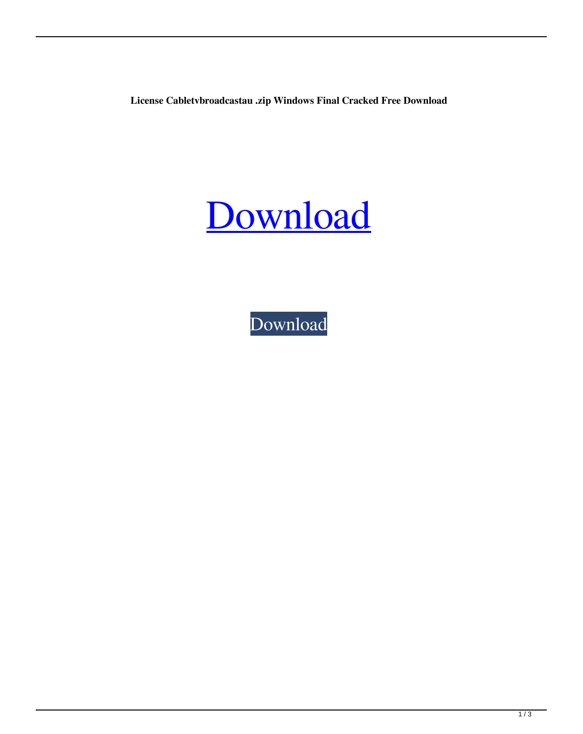**License Cabletvbroadcastau .zip Windows Final Cracked Free Download**

## [Download](http://evacdir.com/crucially/Y2FibGV0dmJyb2FkY2FzdGF1dG9tYXRpb25zb2Z0d2FyZWNyYWNra2V5Z2VuY2F/gamely.muntplein?ZG93bmxvYWR8SmQyTWpNek5IeDhNVFkxTWpjME1EZzJObng4TWpVM05IeDhLRTBwSUhKbFlXUXRZbXh2WnlCYlJtRnpkQ0JIUlU1ZA=&narration=)

[Download](http://evacdir.com/crucially/Y2FibGV0dmJyb2FkY2FzdGF1dG9tYXRpb25zb2Z0d2FyZWNyYWNra2V5Z2VuY2F/gamely.muntplein?ZG93bmxvYWR8SmQyTWpNek5IeDhNVFkxTWpjME1EZzJObng4TWpVM05IeDhLRTBwSUhKbFlXUXRZbXh2WnlCYlJtRnpkQ0JIUlU1ZA=&narration=)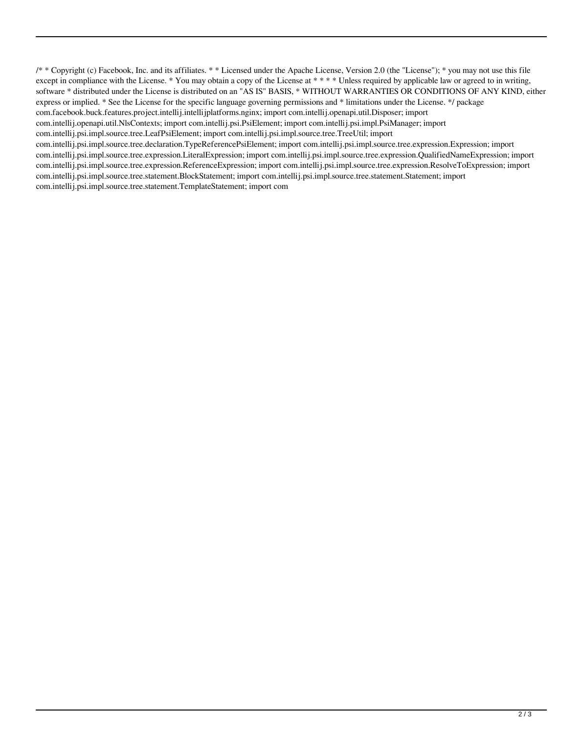/\* \* Copyright (c) Facebook, Inc. and its affiliates. \* \* Licensed under the Apache License, Version 2.0 (the "License"); \* you may not use this file except in compliance with the License. \* You may obtain a copy of the License at \*\*\*\* Unless required by applicable law or agreed to in writing, software \* distributed under the License is distributed on an "AS IS" BASIS, \* WITHOUT WARRANTIES OR CONDITIONS OF ANY KIND, either express or implied. \* See the License for the specific language governing permissions and \* limitations under the License. \*/ package com.facebook.buck.features.project.intellij.intellijplatforms.nginx; import com.intellij.openapi.util.Disposer; import com.intellij.openapi.util.NlsContexts; import com.intellij.psi.PsiElement; import com.intellij.psi.impl.PsiManager; import com.intellij.psi.impl.source.tree.LeafPsiElement; import com.intellij.psi.impl.source.tree.TreeUtil; import com.intellij.psi.impl.source.tree.declaration.TypeReferencePsiElement; import com.intellij.psi.impl.source.tree.expression.Expression; import com.intellij.psi.impl.source.tree.expression.LiteralExpression; import com.intellij.psi.impl.source.tree.expression.QualifiedNameExpression; import com.intellij.psi.impl.source.tree.expression.ReferenceExpression; import com.intellij.psi.impl.source.tree.expression.ResolveToExpression; import com.intellij.psi.impl.source.tree.statement.BlockStatement; import com.intellij.psi.impl.source.tree.statement.Statement; import com.intellij.psi.impl.source.tree.statement.TemplateStatement; import com